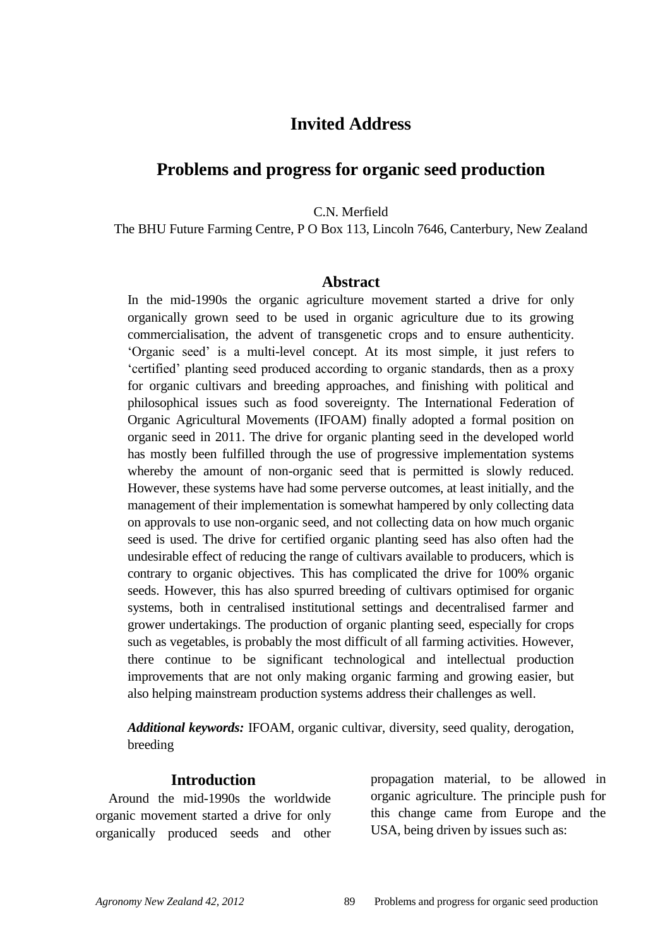# **Invited Address**

## **Problems and progress for organic seed production**

C.N. Merfield

The BHU Future Farming Centre, P O Box 113, Lincoln 7646, Canterbury, New Zealand

#### **Abstract**

In the mid-1990s the organic agriculture movement started a drive for only organically grown seed to be used in organic agriculture due to its growing commercialisation, the advent of transgenetic crops and to ensure authenticity. "Organic seed" is a multi-level concept. At its most simple, it just refers to "certified" planting seed produced according to organic standards, then as a proxy for organic cultivars and breeding approaches, and finishing with political and philosophical issues such as food sovereignty. The International Federation of Organic Agricultural Movements (IFOAM) finally adopted a formal position on organic seed in 2011. The drive for organic planting seed in the developed world has mostly been fulfilled through the use of progressive implementation systems whereby the amount of non-organic seed that is permitted is slowly reduced. However, these systems have had some perverse outcomes, at least initially, and the management of their implementation is somewhat hampered by only collecting data on approvals to use non-organic seed, and not collecting data on how much organic seed is used. The drive for certified organic planting seed has also often had the undesirable effect of reducing the range of cultivars available to producers, which is contrary to organic objectives. This has complicated the drive for 100% organic seeds. However, this has also spurred breeding of cultivars optimised for organic systems, both in centralised institutional settings and decentralised farmer and grower undertakings. The production of organic planting seed, especially for crops such as vegetables, is probably the most difficult of all farming activities. However, there continue to be significant technological and intellectual production improvements that are not only making organic farming and growing easier, but also helping mainstream production systems address their challenges as well.

*Additional keywords:* IFOAM, organic cultivar, diversity, seed quality, derogation, breeding

#### **Introduction**

Around the mid-1990s the worldwide organic movement started a drive for only organically produced seeds and other

propagation material, to be allowed in organic agriculture. The principle push for this change came from Europe and the USA, being driven by issues such as: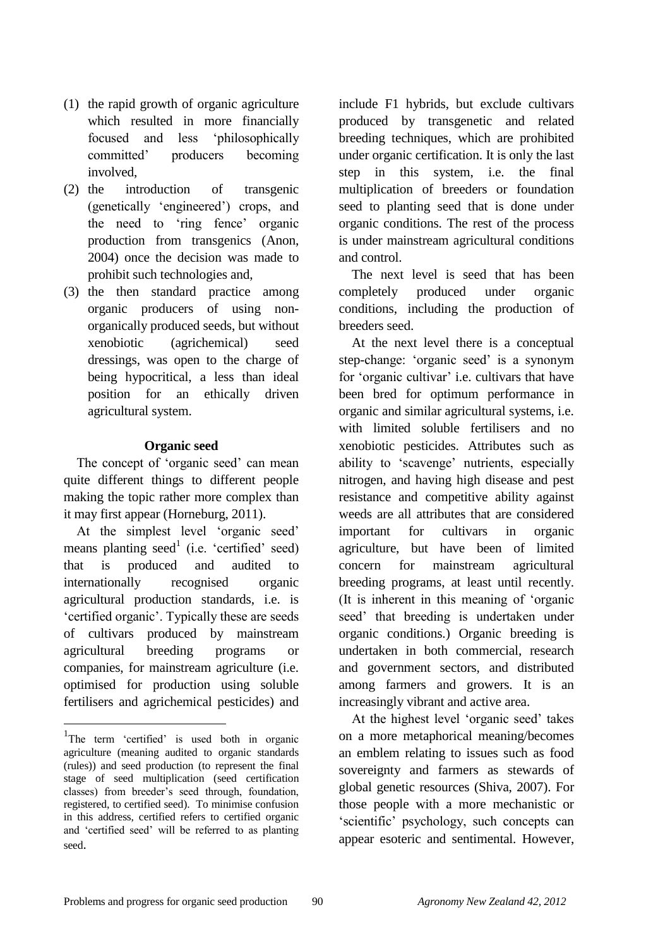- (1) the rapid growth of organic agriculture which resulted in more financially focused and less "philosophically committed" producers becoming involved,
- (2) the introduction of transgenic (genetically "engineered") crops, and the need to "ring fence" organic production from transgenics (Anon, 2004) once the decision was made to prohibit such technologies and,
- (3) the then standard practice among organic producers of using nonorganically produced seeds, but without xenobiotic (agrichemical) seed dressings, was open to the charge of being hypocritical, a less than ideal position for an ethically driven agricultural system.

#### **Organic seed**

The concept of 'organic seed' can mean quite different things to different people making the topic rather more complex than it may first appear (Horneburg, 2011).

At the simplest level "organic seed" means planting seed<sup>1</sup> (i.e. 'certified' seed) that is produced and audited to internationally recognised organic agricultural production standards, i.e. is "certified organic". Typically these are seeds of cultivars produced by mainstream agricultural breeding programs or companies, for mainstream agriculture (i.e. optimised for production using soluble fertilisers and agrichemical pesticides) and

<u>.</u>

include F1 hybrids, but exclude cultivars produced by transgenetic and related breeding techniques, which are prohibited under organic certification. It is only the last step in this system, i.e. the final multiplication of breeders or foundation seed to planting seed that is done under organic conditions. The rest of the process is under mainstream agricultural conditions and control.

The next level is seed that has been completely produced under organic conditions, including the production of breeders seed.

At the next level there is a conceptual step-change: 'organic seed' is a synonym for "organic cultivar" i.e. cultivars that have been bred for optimum performance in organic and similar agricultural systems, i.e. with limited soluble fertilisers and no xenobiotic pesticides. Attributes such as ability to "scavenge" nutrients, especially nitrogen, and having high disease and pest resistance and competitive ability against weeds are all attributes that are considered important for cultivars in organic agriculture, but have been of limited concern for mainstream agricultural breeding programs, at least until recently. (It is inherent in this meaning of "organic seed" that breeding is undertaken under organic conditions.) Organic breeding is undertaken in both commercial, research and government sectors, and distributed among farmers and growers. It is an increasingly vibrant and active area.

At the highest level "organic seed" takes on a more metaphorical meaning/becomes an emblem relating to issues such as food sovereignty and farmers as stewards of global genetic resources (Shiva, 2007). For those people with a more mechanistic or "scientific" psychology, such concepts can appear esoteric and sentimental. However,

<sup>&</sup>lt;sup>1</sup>The term 'certified' is used both in organic agriculture (meaning audited to organic standards (rules)) and seed production (to represent the final stage of seed multiplication (seed certification classes) from breeder"s seed through, foundation, registered, to certified seed). To minimise confusion in this address, certified refers to certified organic and "certified seed" will be referred to as planting seed.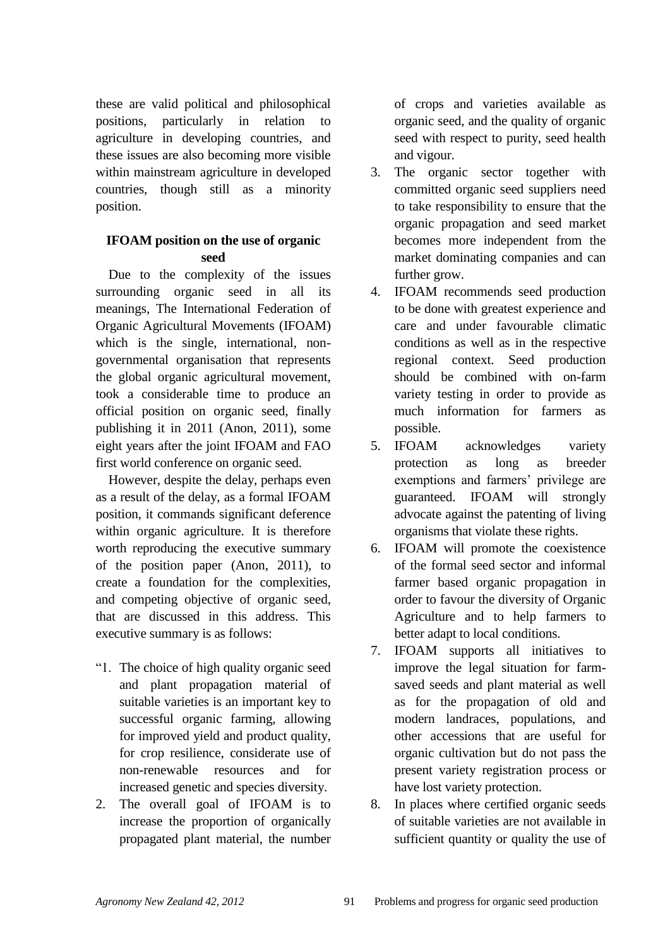these are valid political and philosophical positions, particularly in relation to agriculture in developing countries, and these issues are also becoming more visible within mainstream agriculture in developed countries, though still as a minority position.

# **IFOAM position on the use of organic seed**

Due to the complexity of the issues surrounding organic seed in all its meanings, The International Federation of Organic Agricultural Movements (IFOAM) which is the single, international, nongovernmental organisation that represents the global organic agricultural movement, took a considerable time to produce an official position on organic seed, finally publishing it in 2011 (Anon, 2011), some eight years after the joint IFOAM and FAO first world conference on organic seed.

However, despite the delay, perhaps even as a result of the delay, as a formal IFOAM position, it commands significant deference within organic agriculture. It is therefore worth reproducing the executive summary of the position paper (Anon, 2011), to create a foundation for the complexities, and competing objective of organic seed, that are discussed in this address. This executive summary is as follows:

- "1. The choice of high quality organic seed and plant propagation material of suitable varieties is an important key to successful organic farming, allowing for improved yield and product quality, for crop resilience, considerate use of non-renewable resources and for increased genetic and species diversity.
- 2. The overall goal of IFOAM is to increase the proportion of organically propagated plant material, the number

of crops and varieties available as organic seed, and the quality of organic seed with respect to purity, seed health and vigour.

- 3. The organic sector together with committed organic seed suppliers need to take responsibility to ensure that the organic propagation and seed market becomes more independent from the market dominating companies and can further grow.
- 4. IFOAM recommends seed production to be done with greatest experience and care and under favourable climatic conditions as well as in the respective regional context. Seed production should be combined with on-farm variety testing in order to provide as much information for farmers as possible.
- 5. IFOAM acknowledges variety protection as long as breeder exemptions and farmers' privilege are guaranteed. IFOAM will strongly advocate against the patenting of living organisms that violate these rights.
- 6. IFOAM will promote the coexistence of the formal seed sector and informal farmer based organic propagation in order to favour the diversity of Organic Agriculture and to help farmers to better adapt to local conditions.
- 7. IFOAM supports all initiatives to improve the legal situation for farmsaved seeds and plant material as well as for the propagation of old and modern landraces, populations, and other accessions that are useful for organic cultivation but do not pass the present variety registration process or have lost variety protection.
- 8. In places where certified organic seeds of suitable varieties are not available in sufficient quantity or quality the use of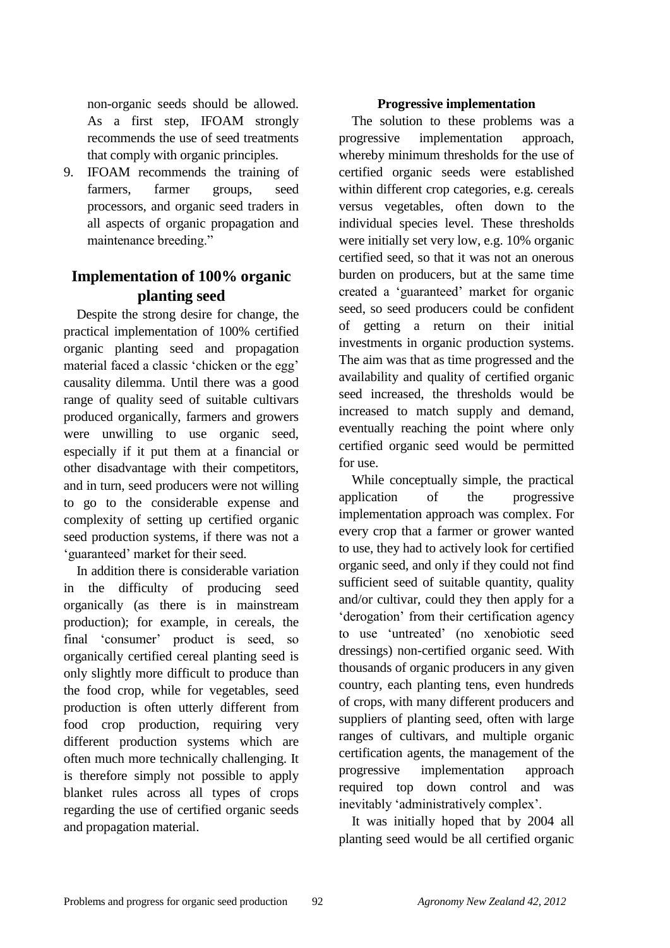non-organic seeds should be allowed. As a first step, IFOAM strongly recommends the use of seed treatments that comply with organic principles.

9. IFOAM recommends the training of farmers, farmer groups, seed processors, and organic seed traders in all aspects of organic propagation and maintenance breeding."

# **Implementation of 100% organic planting seed**

Despite the strong desire for change, the practical implementation of 100% certified organic planting seed and propagation material faced a classic "chicken or the egg" causality dilemma. Until there was a good range of quality seed of suitable cultivars produced organically, farmers and growers were unwilling to use organic seed, especially if it put them at a financial or other disadvantage with their competitors, and in turn, seed producers were not willing to go to the considerable expense and complexity of setting up certified organic seed production systems, if there was not a "guaranteed" market for their seed.

In addition there is considerable variation in the difficulty of producing seed organically (as there is in mainstream production); for example, in cereals, the final "consumer" product is seed, so organically certified cereal planting seed is only slightly more difficult to produce than the food crop, while for vegetables, seed production is often utterly different from food crop production, requiring very different production systems which are often much more technically challenging. It is therefore simply not possible to apply blanket rules across all types of crops regarding the use of certified organic seeds and propagation material.

#### **Progressive implementation**

The solution to these problems was a progressive implementation approach, whereby minimum thresholds for the use of certified organic seeds were established within different crop categories, e.g. cereals versus vegetables, often down to the individual species level. These thresholds were initially set very low, e.g. 10% organic certified seed, so that it was not an onerous burden on producers, but at the same time created a "guaranteed" market for organic seed, so seed producers could be confident of getting a return on their initial investments in organic production systems. The aim was that as time progressed and the availability and quality of certified organic seed increased, the thresholds would be increased to match supply and demand, eventually reaching the point where only certified organic seed would be permitted for use.

While conceptually simple, the practical application of the progressive implementation approach was complex. For every crop that a farmer or grower wanted to use, they had to actively look for certified organic seed, and only if they could not find sufficient seed of suitable quantity, quality and/or cultivar, could they then apply for a "derogation" from their certification agency to use "untreated" (no xenobiotic seed dressings) non-certified organic seed. With thousands of organic producers in any given country, each planting tens, even hundreds of crops, with many different producers and suppliers of planting seed, often with large ranges of cultivars, and multiple organic certification agents, the management of the progressive implementation approach required top down control and was inevitably 'administratively complex'.

It was initially hoped that by 2004 all planting seed would be all certified organic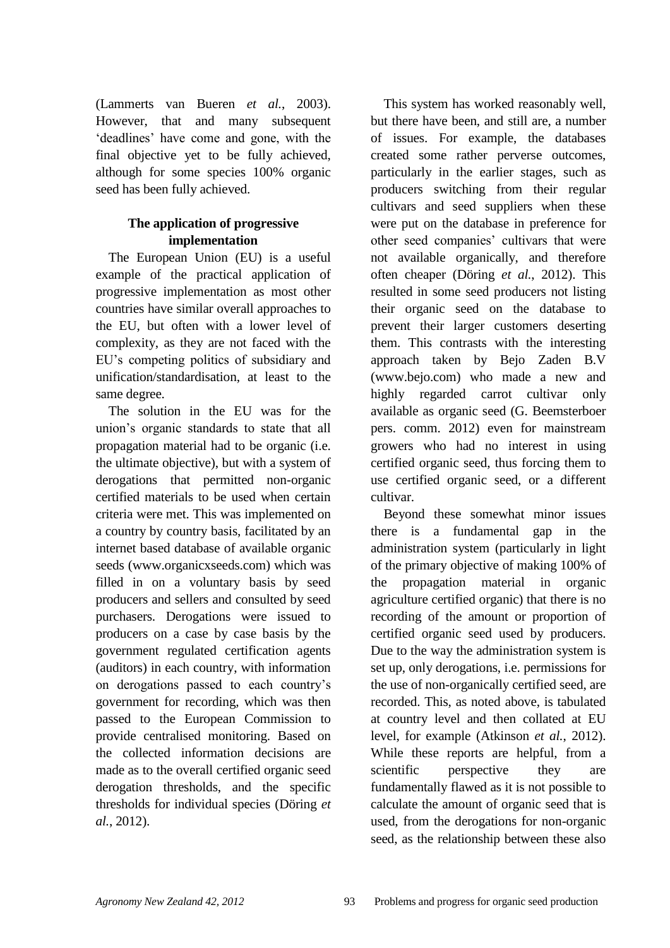(Lammerts van Bueren *et al.*, 2003). However, that and many subsequent "deadlines" have come and gone, with the final objective yet to be fully achieved, although for some species 100% organic seed has been fully achieved.

# **The application of progressive implementation**

The European Union (EU) is a useful example of the practical application of progressive implementation as most other countries have similar overall approaches to the EU, but often with a lower level of complexity, as they are not faced with the EU"s competing politics of subsidiary and unification/standardisation, at least to the same degree.

The solution in the EU was for the union"s organic standards to state that all propagation material had to be organic (i.e. the ultimate objective), but with a system of derogations that permitted non-organic certified materials to be used when certain criteria were met. This was implemented on a country by country basis, facilitated by an internet based database of available organic seeds (www.organicxseeds.com) which was filled in on a voluntary basis by seed producers and sellers and consulted by seed purchasers. Derogations were issued to producers on a case by case basis by the government regulated certification agents (auditors) in each country, with information on derogations passed to each country"s government for recording, which was then passed to the European Commission to provide centralised monitoring. Based on the collected information decisions are made as to the overall certified organic seed derogation thresholds, and the specific thresholds for individual species (Döring *et al.*, 2012).

This system has worked reasonably well, but there have been, and still are, a number of issues. For example, the databases created some rather perverse outcomes, particularly in the earlier stages, such as producers switching from their regular cultivars and seed suppliers when these were put on the database in preference for other seed companies' cultivars that were not available organically, and therefore often cheaper (Döring *et al.*, 2012). This resulted in some seed producers not listing their organic seed on the database to prevent their larger customers deserting them. This contrasts with the interesting approach taken by Bejo Zaden B.V (www.bejo.com) who made a new and highly regarded carrot cultivar only available as organic seed (G. Beemsterboer pers. comm. 2012) even for mainstream growers who had no interest in using certified organic seed, thus forcing them to use certified organic seed, or a different cultivar.

Beyond these somewhat minor issues there is a fundamental gap in the administration system (particularly in light of the primary objective of making 100% of the propagation material in organic agriculture certified organic) that there is no recording of the amount or proportion of certified organic seed used by producers. Due to the way the administration system is set up, only derogations, i.e. permissions for the use of non-organically certified seed, are recorded. This, as noted above, is tabulated at country level and then collated at EU level, for example (Atkinson *et al.*, 2012). While these reports are helpful, from a scientific perspective they are fundamentally flawed as it is not possible to calculate the amount of organic seed that is used, from the derogations for non-organic seed, as the relationship between these also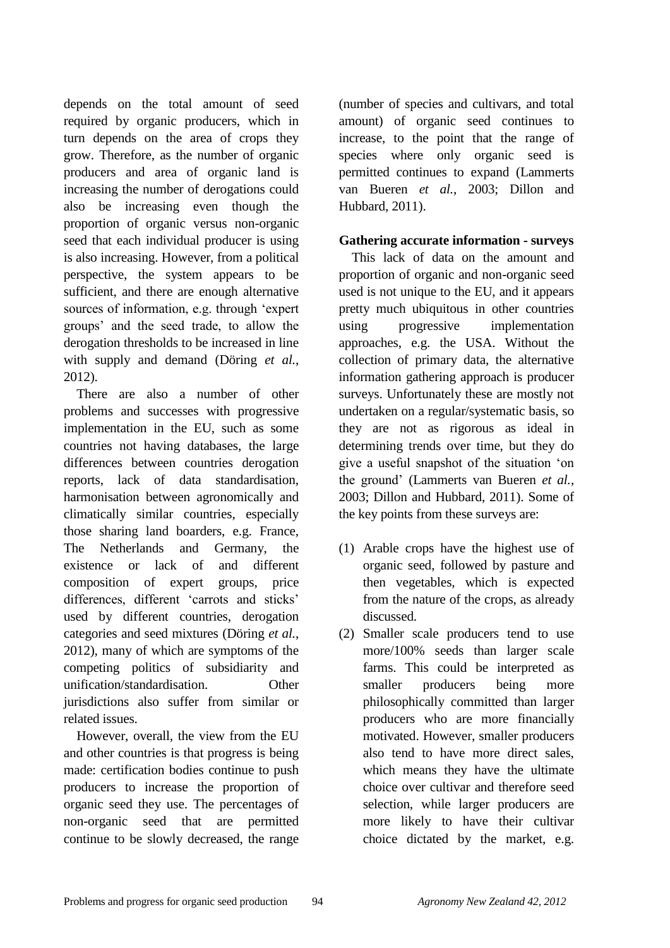depends on the total amount of seed required by organic producers, which in turn depends on the area of crops they grow. Therefore, as the number of organic producers and area of organic land is increasing the number of derogations could also be increasing even though the proportion of organic versus non-organic seed that each individual producer is using is also increasing. However, from a political perspective, the system appears to be sufficient, and there are enough alternative sources of information, e.g. through "expert groups" and the seed trade, to allow the derogation thresholds to be increased in line with supply and demand (Döring *et al.*, 2012).

There are also a number of other problems and successes with progressive implementation in the EU, such as some countries not having databases, the large differences between countries derogation reports, lack of data standardisation, harmonisation between agronomically and climatically similar countries, especially those sharing land boarders, e.g. France, The Netherlands and Germany, the existence or lack of and different composition of expert groups, price differences, different 'carrots and sticks' used by different countries, derogation categories and seed mixtures (Döring *et al.*, 2012), many of which are symptoms of the competing politics of subsidiarity and unification/standardisation. Other jurisdictions also suffer from similar or related issues.

However, overall, the view from the EU and other countries is that progress is being made: certification bodies continue to push producers to increase the proportion of organic seed they use. The percentages of non-organic seed that are permitted continue to be slowly decreased, the range

(number of species and cultivars, and total amount) of organic seed continues to increase, to the point that the range of species where only organic seed is permitted continues to expand (Lammerts van Bueren *et al.*, 2003; Dillon and Hubbard, 2011).

#### **Gathering accurate information - surveys**

This lack of data on the amount and proportion of organic and non-organic seed used is not unique to the EU, and it appears pretty much ubiquitous in other countries using progressive implementation approaches, e.g. the USA. Without the collection of primary data, the alternative information gathering approach is producer surveys. Unfortunately these are mostly not undertaken on a regular/systematic basis, so they are not as rigorous as ideal in determining trends over time, but they do give a useful snapshot of the situation "on the ground" (Lammerts van Bueren *et al.*, 2003; Dillon and Hubbard, 2011). Some of the key points from these surveys are:

- (1) Arable crops have the highest use of organic seed, followed by pasture and then vegetables, which is expected from the nature of the crops, as already discussed.
- (2) Smaller scale producers tend to use more/100% seeds than larger scale farms. This could be interpreted as smaller producers being more philosophically committed than larger producers who are more financially motivated. However, smaller producers also tend to have more direct sales, which means they have the ultimate choice over cultivar and therefore seed selection, while larger producers are more likely to have their cultivar choice dictated by the market, e.g.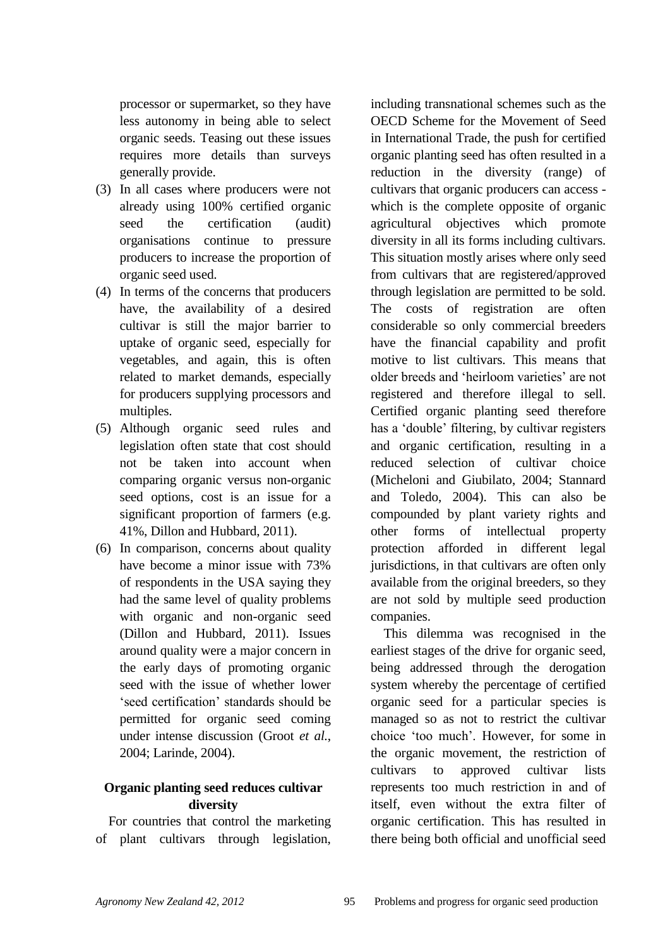processor or supermarket, so they have less autonomy in being able to select organic seeds. Teasing out these issues requires more details than surveys generally provide.

- (3) In all cases where producers were not already using 100% certified organic seed the certification (audit) organisations continue to pressure producers to increase the proportion of organic seed used.
- (4) In terms of the concerns that producers have, the availability of a desired cultivar is still the major barrier to uptake of organic seed, especially for vegetables, and again, this is often related to market demands, especially for producers supplying processors and multiples.
- (5) Although organic seed rules and legislation often state that cost should not be taken into account when comparing organic versus non-organic seed options, cost is an issue for a significant proportion of farmers (e.g. 41%, Dillon and Hubbard, 2011).
- (6) In comparison, concerns about quality have become a minor issue with 73% of respondents in the USA saying they had the same level of quality problems with organic and non-organic seed (Dillon and Hubbard, 2011). Issues around quality were a major concern in the early days of promoting organic seed with the issue of whether lower "seed certification" standards should be permitted for organic seed coming under intense discussion (Groot *et al.*, 2004; Larinde, 2004).

## **Organic planting seed reduces cultivar diversity**

For countries that control the marketing of plant cultivars through legislation, including transnational schemes such as the OECD Scheme for the Movement of Seed in International Trade, the push for certified organic planting seed has often resulted in a reduction in the diversity (range) of cultivars that organic producers can access which is the complete opposite of organic agricultural objectives which promote diversity in all its forms including cultivars. This situation mostly arises where only seed from cultivars that are registered/approved through legislation are permitted to be sold. The costs of registration are often considerable so only commercial breeders have the financial capability and profit motive to list cultivars. This means that older breeds and "heirloom varieties" are not registered and therefore illegal to sell. Certified organic planting seed therefore has a "double" filtering, by cultivar registers and organic certification, resulting in a reduced selection of cultivar choice (Micheloni and Giubilato, 2004; Stannard and Toledo, 2004). This can also be compounded by plant variety rights and other forms of intellectual property protection afforded in different legal jurisdictions, in that cultivars are often only available from the original breeders, so they are not sold by multiple seed production companies.

This dilemma was recognised in the earliest stages of the drive for organic seed, being addressed through the derogation system whereby the percentage of certified organic seed for a particular species is managed so as not to restrict the cultivar choice "too much". However, for some in the organic movement, the restriction of cultivars to approved cultivar lists represents too much restriction in and of itself, even without the extra filter of organic certification. This has resulted in there being both official and unofficial seed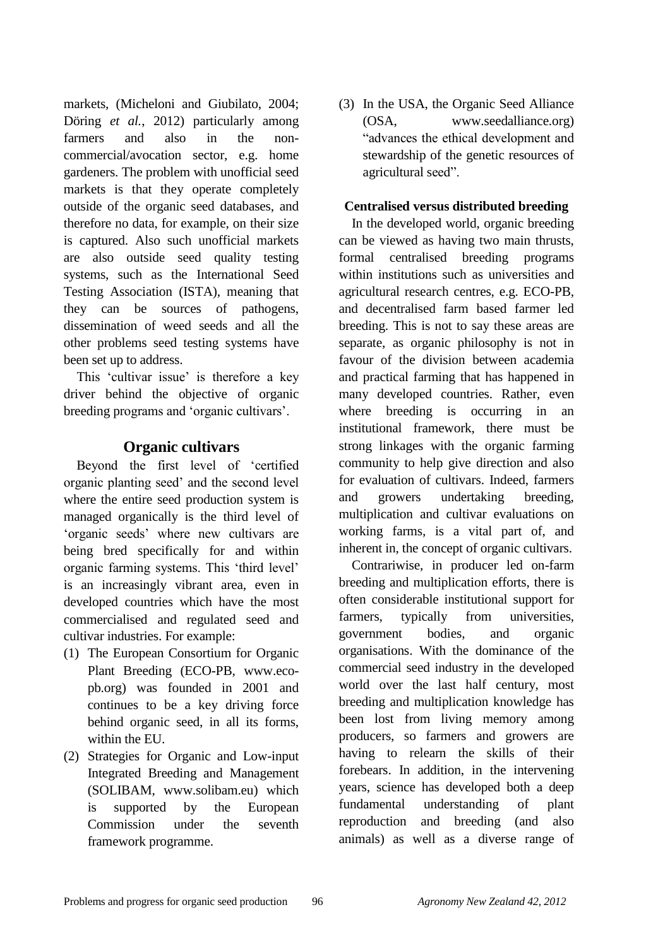markets, (Micheloni and Giubilato, 2004; Döring *et al.*, 2012) particularly among farmers and also in the noncommercial/avocation sector, e.g. home gardeners. The problem with unofficial seed markets is that they operate completely outside of the organic seed databases, and therefore no data, for example, on their size is captured. Also such unofficial markets are also outside seed quality testing systems, such as the International Seed Testing Association (ISTA), meaning that they can be sources of pathogens, dissemination of weed seeds and all the other problems seed testing systems have been set up to address.

This 'cultivar issue' is therefore a key driver behind the objective of organic breeding programs and "organic cultivars".

# **Organic cultivars**

Beyond the first level of "certified organic planting seed" and the second level where the entire seed production system is managed organically is the third level of "organic seeds" where new cultivars are being bred specifically for and within organic farming systems. This "third level" is an increasingly vibrant area, even in developed countries which have the most commercialised and regulated seed and cultivar industries. For example:

- (1) The European Consortium for Organic Plant Breeding (ECO-PB, www.ecopb.org) was founded in 2001 and continues to be a key driving force behind organic seed, in all its forms, within the EU.
- (2) Strategies for Organic and Low-input Integrated Breeding and Management (SOLIBAM, www.solibam.eu) which is supported by the European Commission under the seventh framework programme.

(3) In the USA, the Organic Seed Alliance (OSA, www.seedalliance.org) "advances the ethical development and stewardship of the genetic resources of agricultural seed".

## **Centralised versus distributed breeding**

In the developed world, organic breeding can be viewed as having two main thrusts, formal centralised breeding programs within institutions such as universities and agricultural research centres, e.g. ECO-PB, and decentralised farm based farmer led breeding. This is not to say these areas are separate, as organic philosophy is not in favour of the division between academia and practical farming that has happened in many developed countries. Rather, even where breeding is occurring in an institutional framework, there must be strong linkages with the organic farming community to help give direction and also for evaluation of cultivars. Indeed, farmers and growers undertaking breeding, multiplication and cultivar evaluations on working farms, is a vital part of, and inherent in, the concept of organic cultivars.

Contrariwise, in producer led on-farm breeding and multiplication efforts, there is often considerable institutional support for farmers, typically from universities, government bodies, and organic organisations. With the dominance of the commercial seed industry in the developed world over the last half century, most breeding and multiplication knowledge has been lost from living memory among producers, so farmers and growers are having to relearn the skills of their forebears. In addition, in the intervening years, science has developed both a deep fundamental understanding of plant reproduction and breeding (and also animals) as well as a diverse range of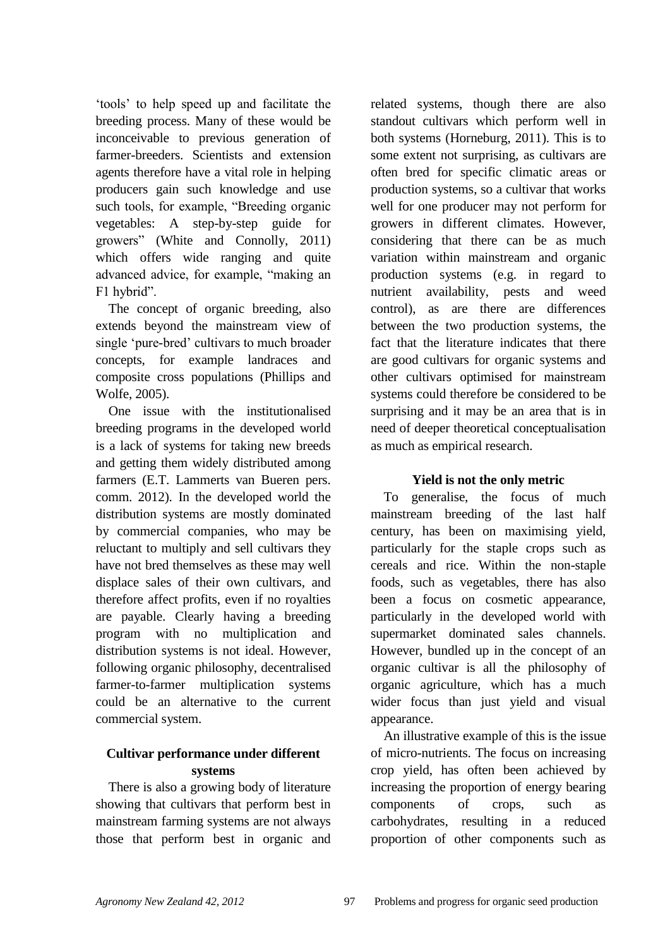"tools" to help speed up and facilitate the breeding process. Many of these would be inconceivable to previous generation of farmer-breeders. Scientists and extension agents therefore have a vital role in helping producers gain such knowledge and use such tools, for example, "Breeding organic vegetables: A step-by-step guide for growers" (White and Connolly, 2011) which offers wide ranging and quite advanced advice, for example, "making an F1 hybrid".

The concept of organic breeding, also extends beyond the mainstream view of single 'pure-bred' cultivars to much broader concepts, for example landraces and composite cross populations (Phillips and Wolfe, 2005).

One issue with the institutionalised breeding programs in the developed world is a lack of systems for taking new breeds and getting them widely distributed among farmers (E.T. Lammerts van Bueren pers. comm. 2012). In the developed world the distribution systems are mostly dominated by commercial companies, who may be reluctant to multiply and sell cultivars they have not bred themselves as these may well displace sales of their own cultivars, and therefore affect profits, even if no royalties are payable. Clearly having a breeding program with no multiplication and distribution systems is not ideal. However, following organic philosophy, decentralised farmer-to-farmer multiplication systems could be an alternative to the current commercial system.

## **Cultivar performance under different systems**

There is also a growing body of literature showing that cultivars that perform best in mainstream farming systems are not always those that perform best in organic and related systems, though there are also standout cultivars which perform well in both systems (Horneburg, 2011). This is to some extent not surprising, as cultivars are often bred for specific climatic areas or production systems, so a cultivar that works well for one producer may not perform for growers in different climates. However, considering that there can be as much variation within mainstream and organic production systems (e.g. in regard to nutrient availability, pests and weed control), as are there are differences between the two production systems, the fact that the literature indicates that there are good cultivars for organic systems and other cultivars optimised for mainstream systems could therefore be considered to be surprising and it may be an area that is in need of deeper theoretical conceptualisation as much as empirical research.

# **Yield is not the only metric**

To generalise, the focus of much mainstream breeding of the last half century, has been on maximising yield, particularly for the staple crops such as cereals and rice. Within the non-staple foods, such as vegetables, there has also been a focus on cosmetic appearance, particularly in the developed world with supermarket dominated sales channels. However, bundled up in the concept of an organic cultivar is all the philosophy of organic agriculture, which has a much wider focus than just yield and visual appearance.

An illustrative example of this is the issue of micro-nutrients. The focus on increasing crop yield, has often been achieved by increasing the proportion of energy bearing components of crops, such as carbohydrates, resulting in a reduced proportion of other components such as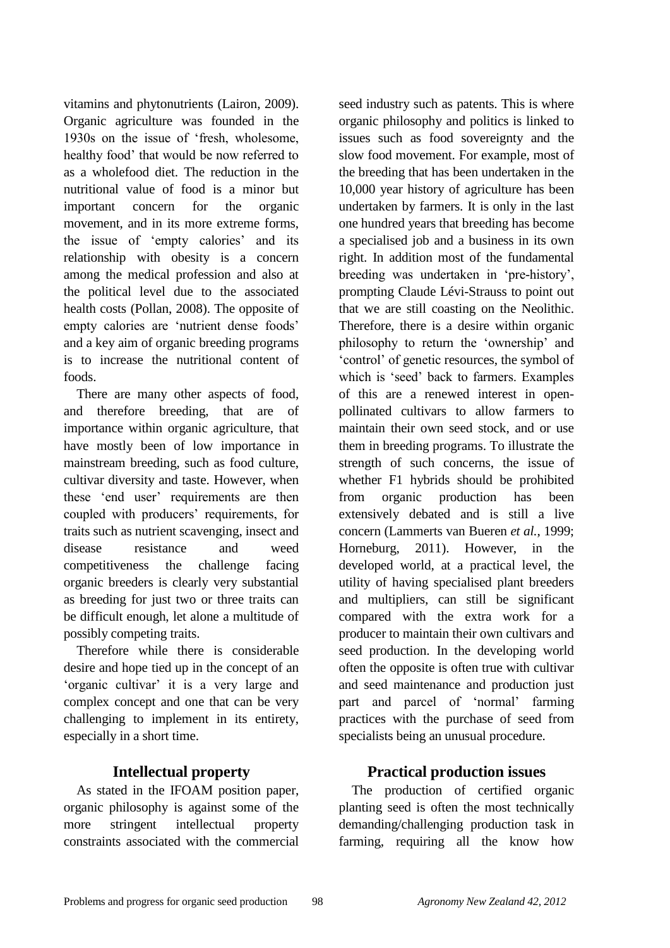vitamins and phytonutrients (Lairon, 2009). Organic agriculture was founded in the 1930s on the issue of "fresh, wholesome, healthy food" that would be now referred to as a wholefood diet. The reduction in the nutritional value of food is a minor but important concern for the organic movement, and in its more extreme forms, the issue of 'empty calories' and its relationship with obesity is a concern among the medical profession and also at the political level due to the associated health costs (Pollan, 2008). The opposite of empty calories are "nutrient dense foods" and a key aim of organic breeding programs is to increase the nutritional content of foods.

There are many other aspects of food, and therefore breeding, that are of importance within organic agriculture, that have mostly been of low importance in mainstream breeding, such as food culture, cultivar diversity and taste. However, when these "end user" requirements are then coupled with producers' requirements, for traits such as nutrient scavenging, insect and disease resistance and weed competitiveness the challenge facing organic breeders is clearly very substantial as breeding for just two or three traits can be difficult enough, let alone a multitude of possibly competing traits.

Therefore while there is considerable desire and hope tied up in the concept of an "organic cultivar" it is a very large and complex concept and one that can be very challenging to implement in its entirety, especially in a short time.

# **Intellectual property**

As stated in the IFOAM position paper, organic philosophy is against some of the more stringent intellectual property constraints associated with the commercial

seed industry such as patents. This is where organic philosophy and politics is linked to issues such as food sovereignty and the slow food movement. For example, most of the breeding that has been undertaken in the 10,000 year history of agriculture has been undertaken by farmers. It is only in the last one hundred years that breeding has become a specialised job and a business in its own right. In addition most of the fundamental breeding was undertaken in "pre-history", prompting Claude Lévi-Strauss to point out that we are still coasting on the Neolithic. Therefore, there is a desire within organic philosophy to return the "ownership" and "control" of genetic resources, the symbol of which is "seed" back to farmers. Examples of this are a renewed interest in openpollinated cultivars to allow farmers to maintain their own seed stock, and or use them in breeding programs. To illustrate the strength of such concerns, the issue of whether F1 hybrids should be prohibited from organic production has been extensively debated and is still a live concern (Lammerts van Bueren *et al.*, 1999; Horneburg, 2011). However, in the developed world, at a practical level, the utility of having specialised plant breeders and multipliers, can still be significant compared with the extra work for a producer to maintain their own cultivars and seed production. In the developing world often the opposite is often true with cultivar and seed maintenance and production just part and parcel of 'normal' farming practices with the purchase of seed from specialists being an unusual procedure.

# **Practical production issues**

The production of certified organic planting seed is often the most technically demanding/challenging production task in farming, requiring all the know how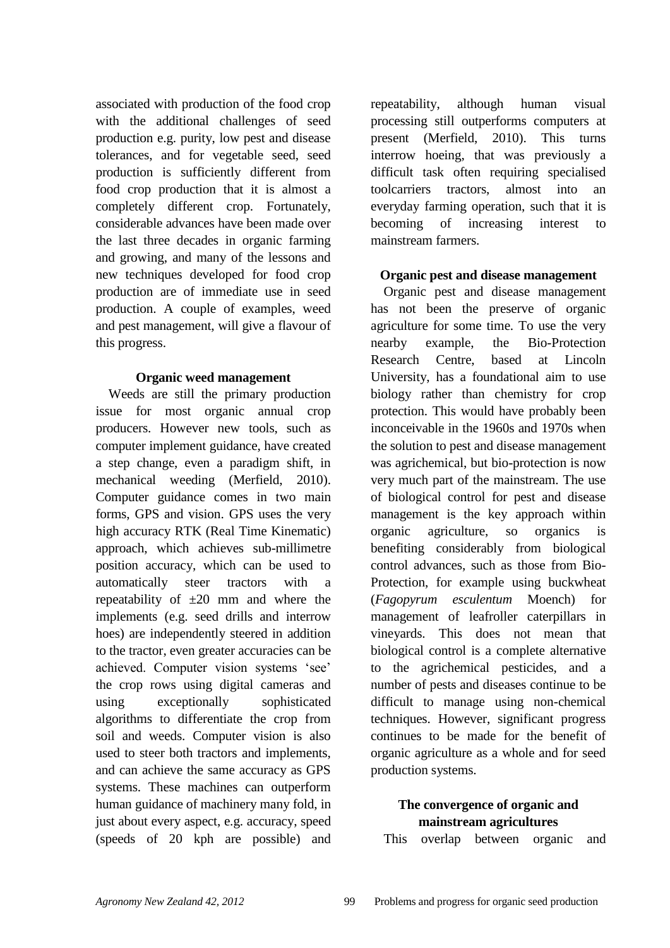associated with production of the food crop with the additional challenges of seed production e.g. purity, low pest and disease tolerances, and for vegetable seed, seed production is sufficiently different from food crop production that it is almost a completely different crop. Fortunately, considerable advances have been made over the last three decades in organic farming and growing, and many of the lessons and new techniques developed for food crop production are of immediate use in seed production. A couple of examples, weed and pest management, will give a flavour of this progress.

#### **Organic weed management**

Weeds are still the primary production issue for most organic annual crop producers. However new tools, such as computer implement guidance, have created a step change, even a paradigm shift, in mechanical weeding (Merfield, 2010). Computer guidance comes in two main forms, GPS and vision. GPS uses the very high accuracy RTK (Real Time Kinematic) approach, which achieves sub-millimetre position accuracy, which can be used to automatically steer tractors with a repeatability of  $\pm 20$  mm and where the implements (e.g. seed drills and interrow hoes) are independently steered in addition to the tractor, even greater accuracies can be achieved. Computer vision systems "see" the crop rows using digital cameras and using exceptionally sophisticated algorithms to differentiate the crop from soil and weeds. Computer vision is also used to steer both tractors and implements, and can achieve the same accuracy as GPS systems. These machines can outperform human guidance of machinery many fold, in just about every aspect, e.g. accuracy, speed (speeds of 20 kph are possible) and

repeatability, although human visual processing still outperforms computers at present (Merfield, 2010). This turns interrow hoeing, that was previously a difficult task often requiring specialised toolcarriers tractors, almost into an everyday farming operation, such that it is becoming of increasing interest to mainstream farmers.

#### **Organic pest and disease management**

Organic pest and disease management has not been the preserve of organic agriculture for some time. To use the very nearby example, the Bio-Protection Research Centre, based at Lincoln University, has a foundational aim to use biology rather than chemistry for crop protection. This would have probably been inconceivable in the 1960s and 1970s when the solution to pest and disease management was agrichemical, but bio-protection is now very much part of the mainstream. The use of biological control for pest and disease management is the key approach within organic agriculture, so organics is benefiting considerably from biological control advances, such as those from Bio-Protection, for example using buckwheat (*Fagopyrum esculentum* Moench) for management of leafroller caterpillars in vineyards. This does not mean that biological control is a complete alternative to the agrichemical pesticides, and a number of pests and diseases continue to be difficult to manage using non-chemical techniques. However, significant progress continues to be made for the benefit of organic agriculture as a whole and for seed production systems.

## **The convergence of organic and mainstream agricultures**

This overlap between organic and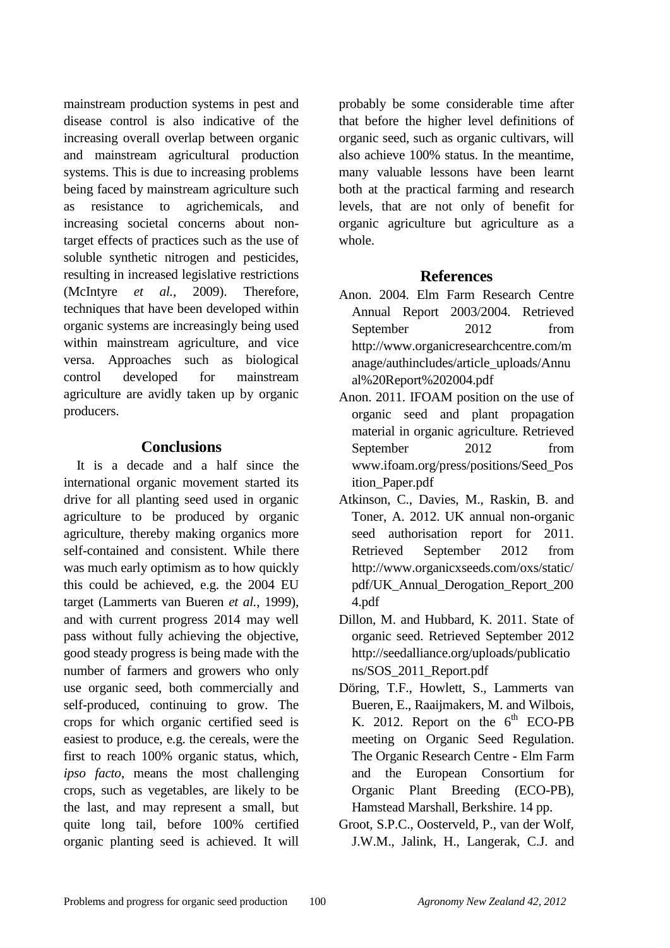mainstream production systems in pest and disease control is also indicative of the increasing overall overlap between organic and mainstream agricultural production systems. This is due to increasing problems being faced by mainstream agriculture such as resistance to agrichemicals, and increasing societal concerns about nontarget effects of practices such as the use of soluble synthetic nitrogen and pesticides, resulting in increased legislative restrictions (McIntyre *et al.*, 2009). Therefore, techniques that have been developed within organic systems are increasingly being used within mainstream agriculture, and vice versa. Approaches such as biological control developed for mainstream agriculture are avidly taken up by organic producers.

#### **Conclusions**

It is a decade and a half since the international organic movement started its drive for all planting seed used in organic agriculture to be produced by organic agriculture, thereby making organics more self-contained and consistent. While there was much early optimism as to how quickly this could be achieved, e.g. the 2004 EU target (Lammerts van Bueren *et al.*, 1999), and with current progress 2014 may well pass without fully achieving the objective, good steady progress is being made with the number of farmers and growers who only use organic seed, both commercially and self-produced, continuing to grow. The crops for which organic certified seed is easiest to produce, e.g. the cereals, were the first to reach 100% organic status, which, *ipso facto*, means the most challenging crops, such as vegetables, are likely to be the last, and may represent a small, but quite long tail, before 100% certified organic planting seed is achieved. It will

probably be some considerable time after that before the higher level definitions of organic seed, such as organic cultivars, will also achieve 100% status. In the meantime, many valuable lessons have been learnt both at the practical farming and research levels, that are not only of benefit for organic agriculture but agriculture as a whole.

#### **References**

- Anon. 2004. Elm Farm Research Centre Annual Report 2003/2004. Retrieved September 2012 from http://www.organicresearchcentre.com/m anage/authincludes/article\_uploads/Annu al%20Report%202004.pdf
- Anon. 2011. IFOAM position on the use of organic seed and plant propagation material in organic agriculture. Retrieved September 2012 from www.ifoam.org/press/positions/Seed\_Pos ition\_Paper.pdf
- Atkinson, C., Davies, M., Raskin, B. and Toner, A. 2012. UK annual non-organic seed authorisation report for 2011. Retrieved September 2012 from http://www.organicxseeds.com/oxs/static/ pdf/UK\_Annual\_Derogation\_Report\_200 4.pdf
- Dillon, M. and Hubbard, K. 2011. State of organic seed. Retrieved September 2012 http://seedalliance.org/uploads/publicatio ns/SOS\_2011\_Report.pdf
- Döring, T.F., Howlett, S., Lammerts van Bueren, E., Raaijmakers, M. and Wilbois, K. 2012. Report on the  $6<sup>th</sup>$  ECO-PB meeting on Organic Seed Regulation. The Organic Research Centre - Elm Farm and the European Consortium for Organic Plant Breeding (ECO-PB), Hamstead Marshall, Berkshire. 14 pp.
- Groot, S.P.C., Oosterveld, P., van der Wolf, J.W.M., Jalink, H., Langerak, C.J. and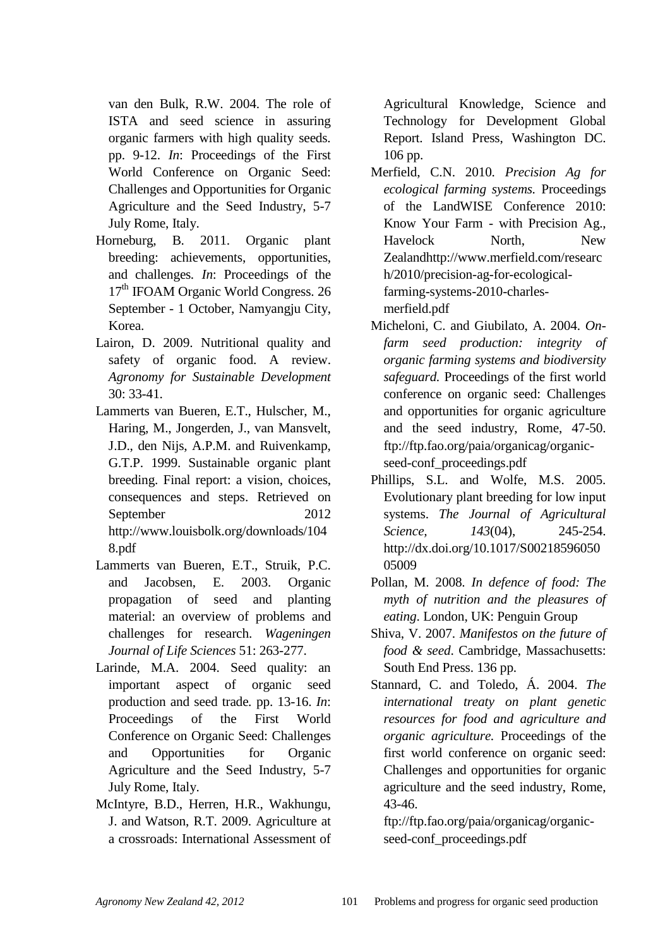van den Bulk, R.W. 2004. The role of ISTA and seed science in assuring organic farmers with high quality seeds*.* pp. 9-12. *In*: Proceedings of the First World Conference on Organic Seed: Challenges and Opportunities for Organic Agriculture and the Seed Industry, 5-7 July Rome, Italy.

- Horneburg, B. 2011. Organic plant breeding: achievements, opportunities, and challenges*. In*: Proceedings of the 17<sup>th</sup> IFOAM Organic World Congress. 26 September - 1 October, Namyangju City, Korea.
- Lairon, D. 2009. Nutritional quality and safety of organic food. A review. *Agronomy for Sustainable Development*  30: 33-41.
- Lammerts van Bueren, E.T., Hulscher, M., Haring, M., Jongerden, J., van Mansvelt, J.D., den Nijs, A.P.M. and Ruivenkamp, G.T.P. 1999. Sustainable organic plant breeding. Final report: a vision, choices, consequences and steps. Retrieved on September 2012 http://www.louisbolk.org/downloads/104 8.pdf
- Lammerts van Bueren, E.T., Struik, P.C. and Jacobsen, E. 2003. Organic propagation of seed and planting material: an overview of problems and challenges for research. *Wageningen Journal of Life Sciences* 51: 263-277.
- Larinde, M.A. 2004. Seed quality: an important aspect of organic seed production and seed trade*.* pp. 13-16. *In*: Proceedings of the First World Conference on Organic Seed: Challenges and Opportunities for Organic Agriculture and the Seed Industry, 5-7 July Rome, Italy.
- McIntyre, B.D., Herren, H.R., Wakhungu, J. and Watson, R.T. 2009. Agriculture at a crossroads: International Assessment of

Agricultural Knowledge, Science and Technology for Development Global Report. Island Press, Washington DC. 106 pp.

- Merfield, C.N. 2010. *Precision Ag for ecological farming systems.* Proceedings of the LandWISE Conference 2010: Know Your Farm - with Precision Ag., Havelock North, New Zealandhttp://www.merfield.com/researc h/2010/precision-ag-for-ecologicalfarming-systems-2010-charlesmerfield.pdf
- Micheloni, C. and Giubilato, A. 2004. *Onfarm seed production: integrity of organic farming systems and biodiversity safeguard.* Proceedings of the first world conference on organic seed: Challenges and opportunities for organic agriculture and the seed industry, Rome, 47-50. ftp://ftp.fao.org/paia/organicag/organicseed-conf\_proceedings.pdf
- Phillips, S.L. and Wolfe, M.S. 2005. Evolutionary plant breeding for low input systems. *The Journal of Agricultural Science, 143*(04), 245-254. http://dx.doi.org/10.1017/S00218596050 05009
- Pollan, M. 2008. *In defence of food: The myth of nutrition and the pleasures of eating*. London, UK: Penguin Group
- Shiva, V. 2007. *Manifestos on the future of food & seed*. Cambridge, Massachusetts: South End Press. 136 pp.
- Stannard, C. and Toledo, Á. 2004. *The international treaty on plant genetic resources for food and agriculture and organic agriculture.* Proceedings of the first world conference on organic seed: Challenges and opportunities for organic agriculture and the seed industry, Rome, 43-46.

ftp://ftp.fao.org/paia/organicag/organicseed-conf\_proceedings.pdf